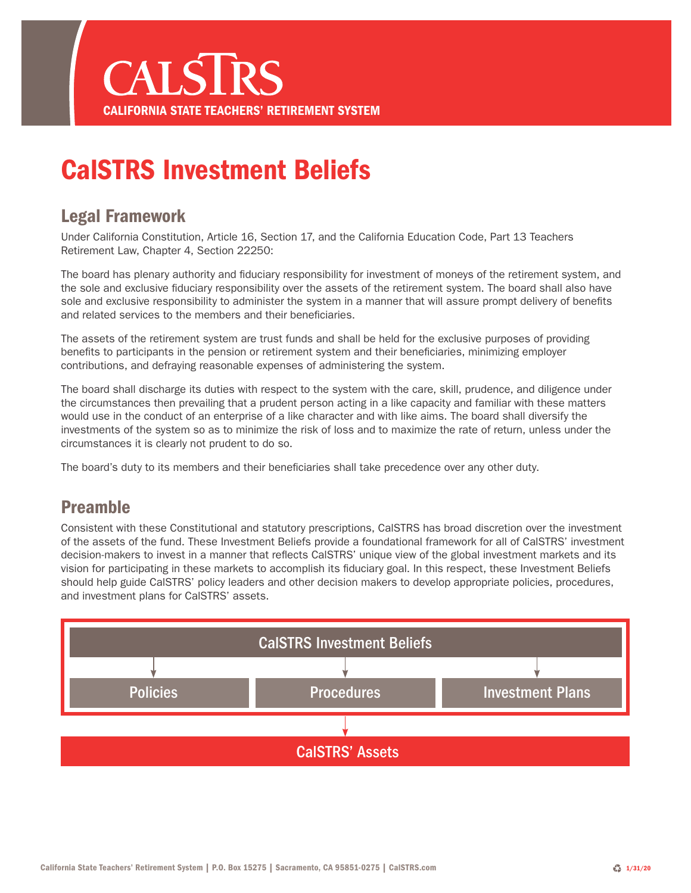

## CalSTRS Investment Beliefs

#### Legal Framework

Under California Constitution, Article 16, Section 17, and the California Education Code, Part 13 Teachers Retirement Law, Chapter 4, Section 22250:

The board has plenary authority and fiduciary responsibility for investment of moneys of the retirement system, and the sole and exclusive fiduciary responsibility over the assets of the retirement system. The board shall also have sole and exclusive responsibility to administer the system in a manner that will assure prompt delivery of benefits and related services to the members and their beneficiaries.

The assets of the retirement system are trust funds and shall be held for the exclusive purposes of providing benefits to participants in the pension or retirement system and their beneficiaries, minimizing employer contributions, and defraying reasonable expenses of administering the system.

The board shall discharge its duties with respect to the system with the care, skill, prudence, and diligence under the circumstances then prevailing that a prudent person acting in a like capacity and familiar with these matters would use in the conduct of an enterprise of a like character and with like aims. The board shall diversify the investments of the system so as to minimize the risk of loss and to maximize the rate of return, unless under the circumstances it is clearly not prudent to do so.

The board's duty to its members and their beneficiaries shall take precedence over any other duty.

#### Preamble

Consistent with these Constitutional and statutory prescriptions, CalSTRS has broad discretion over the investment of the assets of the fund. These Investment Beliefs provide a foundational framework for all of CalSTRS' investment decision-makers to invest in a manner that reflects CalSTRS' unique view of the global investment markets and its vision for participating in these markets to accomplish its fiduciary goal. In this respect, these Investment Beliefs should help guide CalSTRS' policy leaders and other decision makers to develop appropriate policies, procedures, and investment plans for CalSTRS' assets.